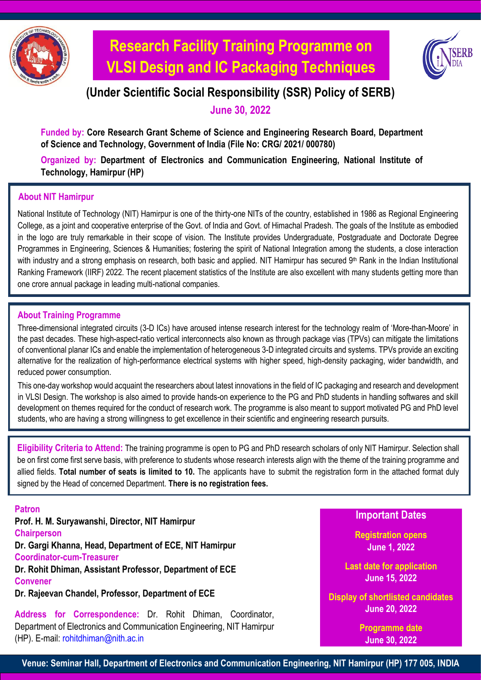

# **Research Facility Training Programme on VLSI Design and IC Packaging Techniques**



### **(Under Scientific Social Responsibility (SSR) Policy of SERB)**

**June 30, 2022**

**Funded by: Core Research Grant Scheme of Science and Engineering Research Board, Department of Science and Technology, Government of India (File No: CRG/ 2021/ 000780)**

**Organized by: Department of Electronics and Communication Engineering, National Institute of Technology, Hamirpur (HP)**

#### **About NIT Hamirpur**

National Institute of Technology (NIT) Hamirpur is one of the thirty-one NITs of the country, established in 1986 as Regional Engineering College, as a joint and cooperative enterprise of the Govt. of India and Govt. of Himachal Pradesh. The goals of the Institute as embodied in the logo are truly remarkable in their scope of vision. The Institute provides Undergraduate, Postgraduate and Doctorate Degree Programmes in Engineering, Sciences & Humanities; fostering the spirit of National Integration among the students, a close interaction with industry and a strong emphasis on research, both basic and applied. NIT Hamirpur has secured 9<sup>th</sup> Rank in the Indian Institutional Ranking Framework (IIRF) 2022. The recent placement statistics of the Institute are also excellent with many students getting more than one crore annual package in leading multi-national companies.

#### **About Training Programme**

Three-dimensional integrated circuits (3-D ICs) have aroused intense research interest for the technology realm of 'More-than-Moore' in the past decades. These high-aspect-ratio vertical interconnects also known as through package vias (TPVs) can mitigate the limitations of conventional planar ICs and enable the implementation of heterogeneous 3-D integrated circuits and systems. TPVs provide an exciting alternative for the realization of high-performance electrical systems with higher speed, high-density packaging, wider bandwidth, and reduced power consumption.

This one-day workshop would acquaint the researchers about latest innovations in the field of IC packaging and research and development in VLSI Design. The workshop is also aimed to provide hands-on experience to the PG and PhD students in handling softwares and skill development on themes required for the conduct of research work. The programme is also meant to support motivated PG and PhD level students, who are having a strong willingness to get excellence in their scientific and engineering research pursuits.

**Eligibility Criteria to Attend:** The training programme is open to PG and PhD research scholars of only NIT Hamirpur. Selection shall be on first come first serve basis, with preference to students whose research interests align with the theme of the training programme and allied fields. **Total number of seats is limited to 10.** The applicants have to submit the registration form in the attached format duly signed by the Head of concerned Department. **There is no registration fees.**

**Patron**

**Prof. H. M. Suryawanshi, Director, NIT Hamirpur Chairperson Dr. Gargi Khanna, Head, Department of ECE, NIT Hamirpur Coordinator-cum-Treasurer Dr. Rohit Dhiman, Assistant Professor, Department of ECE Convener** 

**Dr. Rajeevan Chandel, Professor, Department of ECE**

**Address for Correspondence:** Dr. Rohit Dhiman, Coordinator, Department of Electronics and Communication Engineering, NIT Hamirpur (HP). E-mail: [rohitdhiman@nith.ac.in](mailto:rohitdhiman@nith.ac.in)

**Important Dates**

**Registration opens June 1, 2022**

**Last date for application June 15, 2022**

**Display of shortlisted candidates June 20, 2022**

> **Programme date June 30, 2022**